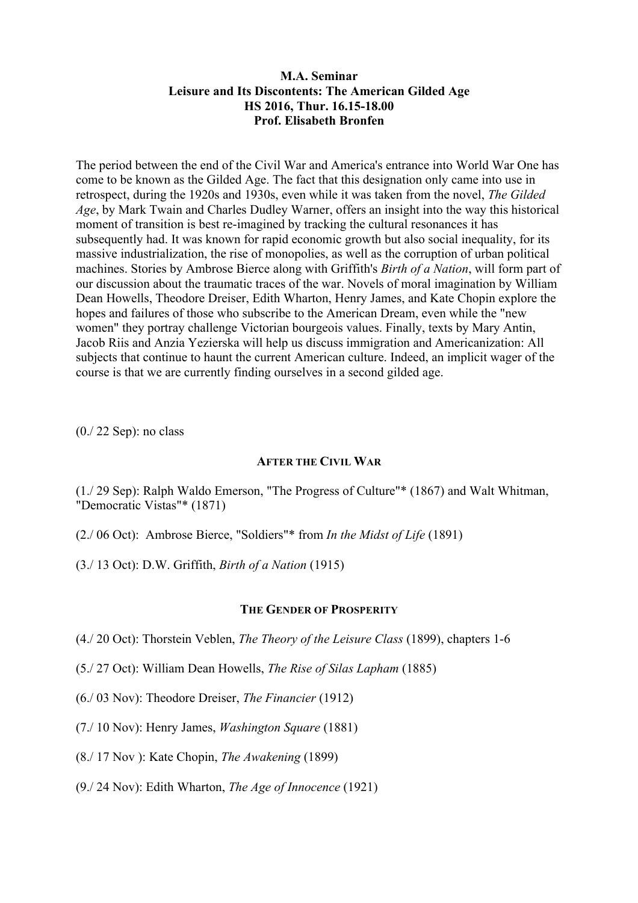# **M.A. Seminar Leisure and Its Discontents: The American Gilded Age HS 2016, Thur. 16.15-18.00 Prof. Elisabeth Bronfen**

The period between the end of the Civil War and America's entrance into World War One has come to be known as the Gilded Age. The fact that this designation only came into use in retrospect, during the 1920s and 1930s, even while it was taken from the novel, *The Gilded Age*, by Mark Twain and Charles Dudley Warner, offers an insight into the way this historical moment of transition is best re-imagined by tracking the cultural resonances it has subsequently had. It was known for rapid economic growth but also social inequality, for its massive industrialization, the rise of monopolies, as well as the corruption of urban political machines. Stories by Ambrose Bierce along with Griffith's *Birth of a Nation*, will form part of our discussion about the traumatic traces of the war. Novels of moral imagination by William Dean Howells, Theodore Dreiser, Edith Wharton, Henry James, and Kate Chopin explore the hopes and failures of those who subscribe to the American Dream, even while the "new women" they portray challenge Victorian bourgeois values. Finally, texts by Mary Antin, Jacob Riis and Anzia Yezierska will help us discuss immigration and Americanization: All subjects that continue to haunt the current American culture. Indeed, an implicit wager of the course is that we are currently finding ourselves in a second gilded age.

(0./ 22 Sep): no class

# **AFTER THE CIVIL WAR**

(1./ 29 Sep): Ralph Waldo Emerson, "The Progress of Culture"\* (1867) and Walt Whitman, "Democratic Vistas"\* (1871)

- (2./ 06 Oct): Ambrose Bierce, "Soldiers"\* from *In the Midst of Life* (1891)
- (3./ 13 Oct): D.W. Griffith, *Birth of a Nation* (1915)

# **THE GENDER OF PROSPERITY**

- (4./ 20 Oct): Thorstein Veblen, *The Theory of the Leisure Class* (1899), chapters 1-6
- (5./ 27 Oct): William Dean Howells, *The Rise of Silas Lapham* (1885)
- (6./ 03 Nov): Theodore Dreiser, *The Financier* (1912)
- (7./ 10 Nov): Henry James, *Washington Square* (1881)
- (8./ 17 Nov ): Kate Chopin, *The Awakening* (1899)
- (9./ 24 Nov): Edith Wharton, *The Age of Innocence* (1921)